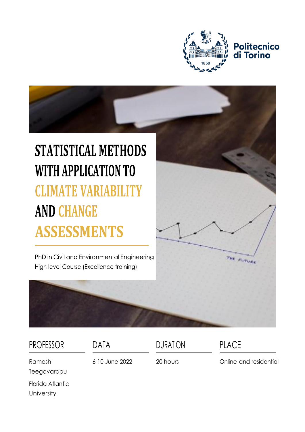

# Politecnico<br>di Torino

## **STATISTICAL METHODS** WITH APPLICATION TO **CLIMATE VARIABILITY AND CHANGE ASSESSMENTS**

PhD in Civil and Environmental Engineering High level Course (Excellence training)



| <b>PROFESSOR</b>               | DATA           | <b>DURATION</b> | <b>PLACE</b>           |
|--------------------------------|----------------|-----------------|------------------------|
| Ramesh<br>Teegavarapu          | 6-10 June 2022 | 20 hours        | Online and residential |
| Florida Atlantic<br>University |                |                 |                        |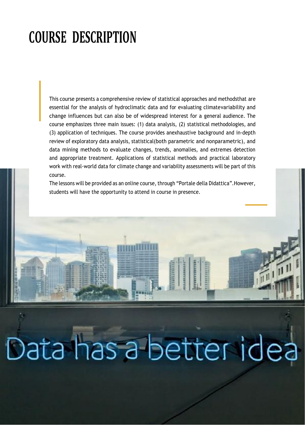### **COURSE DESCRIPTION**

This course presents a comprehensive review of statistical approaches and methodsthat are essential for the analysis of hydroclimatic data and for evaluating climatevariability and change influences but can also be of widespread interest for a general audience. The course emphasizes three main issues: (1) data analysis, (2) statistical methodologies, and (3) application of techniques. The course provides anexhaustive background and in-depth review of exploratory data analysis, statistical(both parametric and nonparametric), and data mining methods to evaluate changes, trends, anomalies, and extremes detection and appropriate treatment. Applications of statistical methods and practical laboratory work with real-world data for climate change and variability assessments will be part of this course.

The lessons will be provided as an online course, through "Portale della Didattica".However, students will have the opportunity to attend in course in presence.

Data has a better idea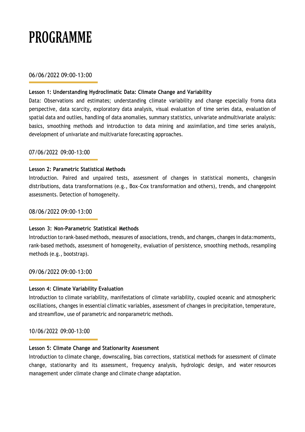### **PROGRAMME**

#### 06/06/2022 09:00-13:00

#### **Lesson 1: Understanding Hydroclimatic Data: Climate Change and Variability**

Data: Observations and estimates; understanding climate variability and change especially froma data perspective, data scarcity, exploratory data analysis, visual evaluation of time series data, evaluation of spatial data and outlies, handling of data anomalies, summary statistics, univariate andmultivariate analysis: basics, smoothing methods and introduction to data mining and assimilation, and time series analysis, development of univariate and multivariate forecasting approaches.

#### 07/06/2022 09:00-13:00

#### **Lesson 2: Parametric Statistical Methods**

Introduction. Paired and unpaired tests, assessment of changes in statistical moments, changesin distributions, data transformations (e.g., Box-Cox transformation and others), trends, and changepoint assessments. Detection of homogeneity.

#### 08/06/2022 09:00-13:00

#### **Lesson 3: Non-Parametric Statistical Methods**

Introduction to rank-based methods, measures of associations, trends, and changes, changes in data:moments, rank-based methods, assessment of homogeneity, evaluation of persistence, smoothing methods, resampling methods (e.g., bootstrap).

09/06/2022 09:00-13:00

#### **Lesson 4: Climate Variability Evaluation**

Introduction to climate variability, manifestations of climate variability, coupled oceanic and atmospheric oscillations, changes in essential climatic variables, assessment of changes in precipitation, temperature, and streamflow, use of parametric and nonparametric methods.

#### 10/06/2022 09:00-13:00

#### **Lesson 5: Climate Change and Stationarity Assessment**

Introduction to climate change, downscaling, bias corrections, statistical methods for assessment of climate change, stationarity and its assessment, frequency analysis, hydrologic design, and water resources management under climate change and climate change adaptation.